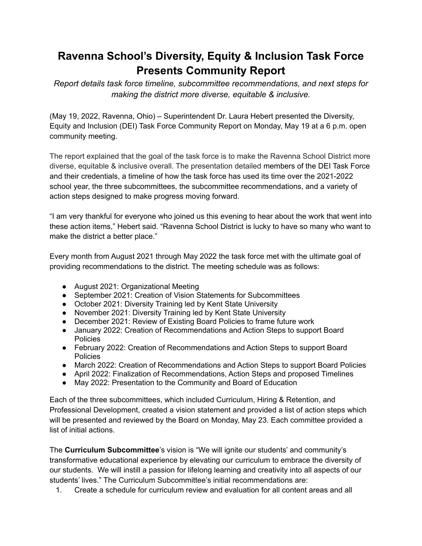## **Ravenna School's Diversity, Equity & Inclusion Task Force Presents Community Report**

*Report details task force timeline, subcommittee recommendations, and next steps for making the district more diverse, equitable & inclusive.*

(May 19, 2022, Ravenna, Ohio) – Superintendent Dr. Laura Hebert presented the Diversity, Equity and Inclusion (DEI) Task Force Community Report on Monday, May 19 at a 6 p.m. open community meeting.

The report explained that the goal of the task force is to make the Ravenna School District more diverse, equitable & inclusive overall. The presentation detailed members of the DEI Task Force and their credentials, a timeline of how the task force has used its time over the 2021-2022 school year, the three subcommittees, the subcommittee recommendations, and a variety of action steps designed to make progress moving forward.

"I am very thankful for everyone who joined us this evening to hear about the work that went into these action items," Hebert said. "Ravenna School District is lucky to have so many who want to make the district a better place."

Every month from August 2021 through May 2022 the task force met with the ultimate goal of providing recommendations to the district. The meeting schedule was as follows:

- August 2021: Organizational Meeting
- September 2021: Creation of Vision Statements for Subcommittees
- October 2021: Diversity Training led by Kent State University
- November 2021: Diversity Training led by Kent State University
- December 2021: Review of Existing Board Policies to frame future work
- January 2022: Creation of Recommendations and Action Steps to support Board **Policies**
- February 2022: Creation of Recommendations and Action Steps to support Board **Policies**
- March 2022: Creation of Recommendations and Action Steps to support Board Policies
- April 2022: Finalization of Recommendations, Action Steps and proposed Timelines
- May 2022: Presentation to the Community and Board of Education

Each of the three subcommittees, which included Curriculum, Hiring & Retention, and Professional Development, created a vision statement and provided a list of action steps which will be presented and reviewed by the Board on Monday, May 23. Each committee provided a list of initial actions.

The **Curriculum Subcommittee**'s vision is "We will ignite our students' and community's transformative educational experience by elevating our curriculum to embrace the diversity of our students. We will instill a passion for lifelong learning and creativity into all aspects of our students' lives." The Curriculum Subcommittee's initial recommendations are:

1. Create a schedule for curriculum review and evaluation for all content areas and all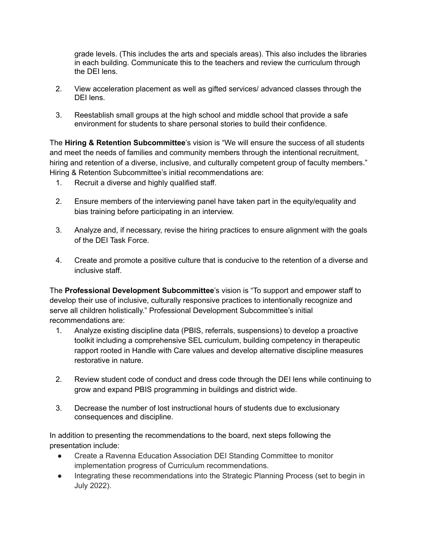grade levels. (This includes the arts and specials areas). This also includes the libraries in each building. Communicate this to the teachers and review the curriculum through the DEI lens.

- 2. View acceleration placement as well as gifted services/ advanced classes through the DEI lens.
- 3. Reestablish small groups at the high school and middle school that provide a safe environment for students to share personal stories to build their confidence.

The **Hiring & Retention Subcommittee**'s vision is "We will ensure the success of all students and meet the needs of families and community members through the intentional recruitment, hiring and retention of a diverse, inclusive, and culturally competent group of faculty members." Hiring & Retention Subcommittee's initial recommendations are:

- 1. Recruit a diverse and highly qualified staff.
- 2. Ensure members of the interviewing panel have taken part in the equity/equality and bias training before participating in an interview.
- 3. Analyze and, if necessary, revise the hiring practices to ensure alignment with the goals of the DEI Task Force.
- 4. Create and promote a positive culture that is conducive to the retention of a diverse and inclusive staff.

The **Professional Development Subcommittee**'s vision is "To support and empower staff to develop their use of inclusive, culturally responsive practices to intentionally recognize and serve all children holistically." Professional Development Subcommittee's initial recommendations are:

- 1. Analyze existing discipline data (PBIS, referrals, suspensions) to develop a proactive toolkit including a comprehensive SEL curriculum, building competency in therapeutic rapport rooted in Handle with Care values and develop alternative discipline measures restorative in nature.
- 2. Review student code of conduct and dress code through the DEI lens while continuing to grow and expand PBIS programming in buildings and district wide.
- 3. Decrease the number of lost instructional hours of students due to exclusionary consequences and discipline.

In addition to presenting the recommendations to the board, next steps following the presentation include:

- Create a Ravenna Education Association DEI Standing Committee to monitor implementation progress of Curriculum recommendations.
- Integrating these recommendations into the Strategic Planning Process (set to begin in July 2022).